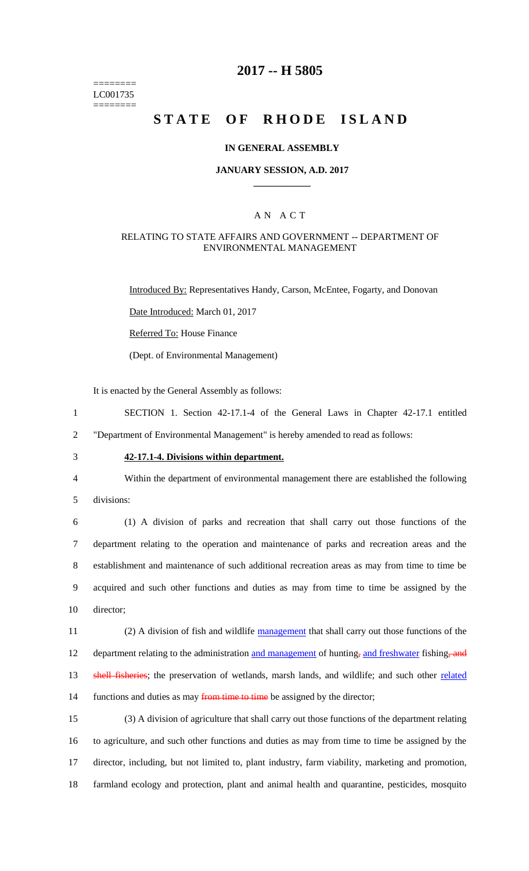======== LC001735 ========

## **2017 -- H 5805**

# **STATE OF RHODE ISLAND**

### **IN GENERAL ASSEMBLY**

### **JANUARY SESSION, A.D. 2017 \_\_\_\_\_\_\_\_\_\_\_\_**

### A N A C T

#### RELATING TO STATE AFFAIRS AND GOVERNMENT -- DEPARTMENT OF ENVIRONMENTAL MANAGEMENT

Introduced By: Representatives Handy, Carson, McEntee, Fogarty, and Donovan

Date Introduced: March 01, 2017

Referred To: House Finance

(Dept. of Environmental Management)

It is enacted by the General Assembly as follows:

1 SECTION 1. Section 42-17.1-4 of the General Laws in Chapter 42-17.1 entitled 2 "Department of Environmental Management" is hereby amended to read as follows:

# 3 **42-17.1-4. Divisions within department.**

4 Within the department of environmental management there are established the following

5 divisions:

 (1) A division of parks and recreation that shall carry out those functions of the department relating to the operation and maintenance of parks and recreation areas and the establishment and maintenance of such additional recreation areas as may from time to time be acquired and such other functions and duties as may from time to time be assigned by the director;

11 (2) A division of fish and wildlife management that shall carry out those functions of the 12 department relating to the administration and management of hunting, and freshwater fishing, and 13 shell fisheries; the preservation of wetlands, marsh lands, and wildlife; and such other related 14 functions and duties as may from time to time be assigned by the director;

 (3) A division of agriculture that shall carry out those functions of the department relating to agriculture, and such other functions and duties as may from time to time be assigned by the director, including, but not limited to, plant industry, farm viability, marketing and promotion, farmland ecology and protection, plant and animal health and quarantine, pesticides, mosquito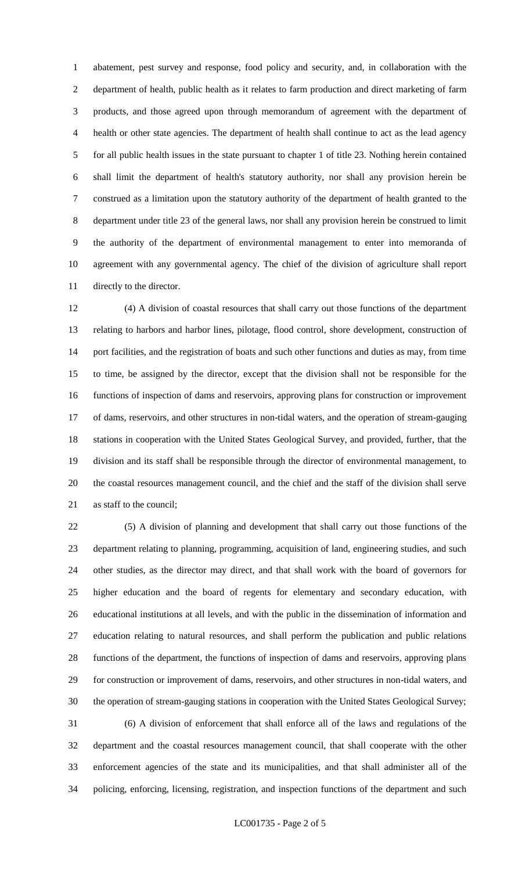abatement, pest survey and response, food policy and security, and, in collaboration with the department of health, public health as it relates to farm production and direct marketing of farm products, and those agreed upon through memorandum of agreement with the department of health or other state agencies. The department of health shall continue to act as the lead agency for all public health issues in the state pursuant to chapter 1 of title 23. Nothing herein contained shall limit the department of health's statutory authority, nor shall any provision herein be construed as a limitation upon the statutory authority of the department of health granted to the department under title 23 of the general laws, nor shall any provision herein be construed to limit the authority of the department of environmental management to enter into memoranda of agreement with any governmental agency. The chief of the division of agriculture shall report directly to the director.

 (4) A division of coastal resources that shall carry out those functions of the department relating to harbors and harbor lines, pilotage, flood control, shore development, construction of port facilities, and the registration of boats and such other functions and duties as may, from time to time, be assigned by the director, except that the division shall not be responsible for the functions of inspection of dams and reservoirs, approving plans for construction or improvement of dams, reservoirs, and other structures in non-tidal waters, and the operation of stream-gauging stations in cooperation with the United States Geological Survey, and provided, further, that the division and its staff shall be responsible through the director of environmental management, to the coastal resources management council, and the chief and the staff of the division shall serve as staff to the council;

 (5) A division of planning and development that shall carry out those functions of the department relating to planning, programming, acquisition of land, engineering studies, and such other studies, as the director may direct, and that shall work with the board of governors for higher education and the board of regents for elementary and secondary education, with educational institutions at all levels, and with the public in the dissemination of information and education relating to natural resources, and shall perform the publication and public relations functions of the department, the functions of inspection of dams and reservoirs, approving plans for construction or improvement of dams, reservoirs, and other structures in non-tidal waters, and the operation of stream-gauging stations in cooperation with the United States Geological Survey; (6) A division of enforcement that shall enforce all of the laws and regulations of the department and the coastal resources management council, that shall cooperate with the other enforcement agencies of the state and its municipalities, and that shall administer all of the policing, enforcing, licensing, registration, and inspection functions of the department and such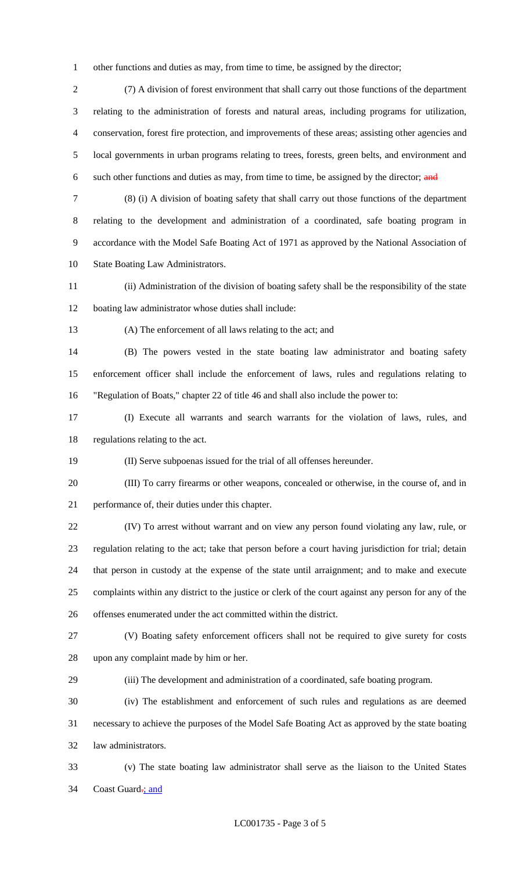other functions and duties as may, from time to time, be assigned by the director;

 (7) A division of forest environment that shall carry out those functions of the department relating to the administration of forests and natural areas, including programs for utilization, conservation, forest fire protection, and improvements of these areas; assisting other agencies and local governments in urban programs relating to trees, forests, green belts, and environment and 6 such other functions and duties as may, from time to time, be assigned by the director; and

 (8) (i) A division of boating safety that shall carry out those functions of the department relating to the development and administration of a coordinated, safe boating program in accordance with the Model Safe Boating Act of 1971 as approved by the National Association of State Boating Law Administrators.

 (ii) Administration of the division of boating safety shall be the responsibility of the state boating law administrator whose duties shall include:

(A) The enforcement of all laws relating to the act; and

 (B) The powers vested in the state boating law administrator and boating safety enforcement officer shall include the enforcement of laws, rules and regulations relating to "Regulation of Boats," chapter 22 of title 46 and shall also include the power to:

 (I) Execute all warrants and search warrants for the violation of laws, rules, and regulations relating to the act.

(II) Serve subpoenas issued for the trial of all offenses hereunder.

 (III) To carry firearms or other weapons, concealed or otherwise, in the course of, and in performance of, their duties under this chapter.

 (IV) To arrest without warrant and on view any person found violating any law, rule, or regulation relating to the act; take that person before a court having jurisdiction for trial; detain that person in custody at the expense of the state until arraignment; and to make and execute complaints within any district to the justice or clerk of the court against any person for any of the offenses enumerated under the act committed within the district.

 (V) Boating safety enforcement officers shall not be required to give surety for costs upon any complaint made by him or her.

(iii) The development and administration of a coordinated, safe boating program.

 (iv) The establishment and enforcement of such rules and regulations as are deemed necessary to achieve the purposes of the Model Safe Boating Act as approved by the state boating law administrators.

 (v) The state boating law administrator shall serve as the liaison to the United States 34 Coast Guard-; and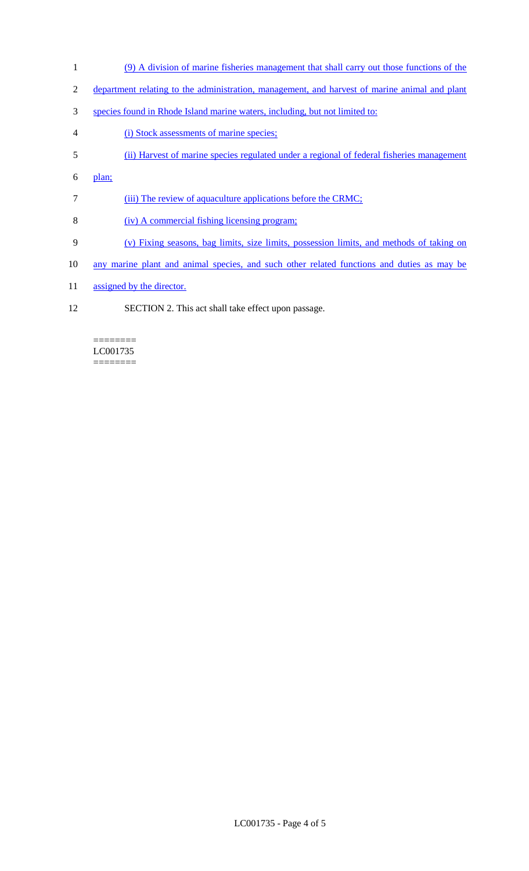- 1 (9) A division of marine fisheries management that shall carry out those functions of the
- 2 department relating to the administration, management, and harvest of marine animal and plant
- 3 species found in Rhode Island marine waters, including, but not limited to:
- 4 (i) Stock assessments of marine species;
- 5 (ii) Harvest of marine species regulated under a regional of federal fisheries management
- 6 plan;
- 7 (iii) The review of aquaculture applications before the CRMC;
- 8 (iv) A commercial fishing licensing program;
- 9 (v) Fixing seasons, bag limits, size limits, possession limits, and methods of taking on
- 10 any marine plant and animal species, and such other related functions and duties as may be
- 11 assigned by the director.
- 12 SECTION 2. This act shall take effect upon passage.

======== LC001735 ========